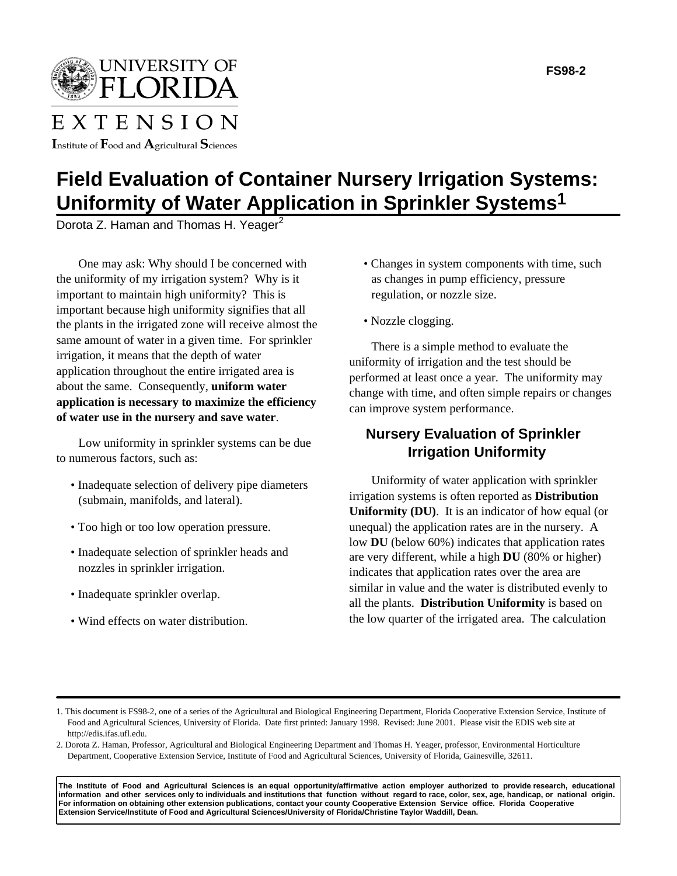UNIVERSITY OF LORII

## EXTENSION

Institute of  $\rm F$ ood and  $\rm A$ gricultural  $\rm S$ ciences

## **Field Evaluation of Container Nursery Irrigation Systems: Uniformity of Water Application in Sprinkler Systems1**

Dorota Z. Haman and Thomas H. Yeager<sup>2</sup>

One may ask: Why should I be concerned with the uniformity of my irrigation system? Why is it important to maintain high uniformity? This is important because high uniformity signifies that all the plants in the irrigated zone will receive almost the same amount of water in a given time. For sprinkler irrigation, it means that the depth of water application throughout the entire irrigated area is about the same. Consequently, **uniform water application is necessary to maximize the efficiency of water use in the nursery and save water**.

Low uniformity in sprinkler systems can be due to numerous factors, such as:

- Inadequate selection of delivery pipe diameters (submain, manifolds, and lateral).
- Too high or too low operation pressure.
- Inadequate selection of sprinkler heads and nozzles in sprinkler irrigation.
- Inadequate sprinkler overlap.
- Wind effects on water distribution.
- Changes in system components with time, such as changes in pump efficiency, pressure regulation, or nozzle size.
- Nozzle clogging.

There is a simple method to evaluate the uniformity of irrigation and the test should be performed at least once a year. The uniformity may change with time, and often simple repairs or changes can improve system performance.

## **Nursery Evaluation of Sprinkler Irrigation Uniformity**

Uniformity of water application with sprinkler irrigation systems is often reported as **Distribution Uniformity (DU)**.It is an indicator of how equal (or unequal) the application rates are in the nursery. A low **DU** (below 60%) indicates that application rates are very different, while a high **DU** (80% or higher) indicates that application rates over the area are similar in value and the water is distributed evenly to all the plants. **Distribution Uniformity** is based on the low quarter of the irrigated area. The calculation

**The Institute of Food and Agricultural Sciences is an equal opportunity/affirmative action employer authorized to provide research, educational information and other services only to individuals and institutions that function without regard to race, color, sex, age, handicap, or national origin. For information on obtaining other extension publications, contact your county Cooperative Extension Service office. Florida Cooperative Extension Service/Institute of Food and Agricultural Sciences/University of Florida/Christine Taylor Waddill, Dean.**

<sup>1.</sup> This document is FS98-2, one of a series of the Agricultural and Biological Engineering Department, Florida Cooperative Extension Service, Institute of Food and Agricultural Sciences, University of Florida. Date first printed: January 1998. Revised: June 2001. Please visit the EDIS web site at http://edis.ifas.ufl.edu.

<sup>2.</sup> Dorota Z. Haman, Professor, Agricultural and Biological Engineering Department and Thomas H. Yeager, professor, Environmental Horticulture Department, Cooperative Extension Service, Institute of Food and Agricultural Sciences, University of Florida, Gainesville, 32611.